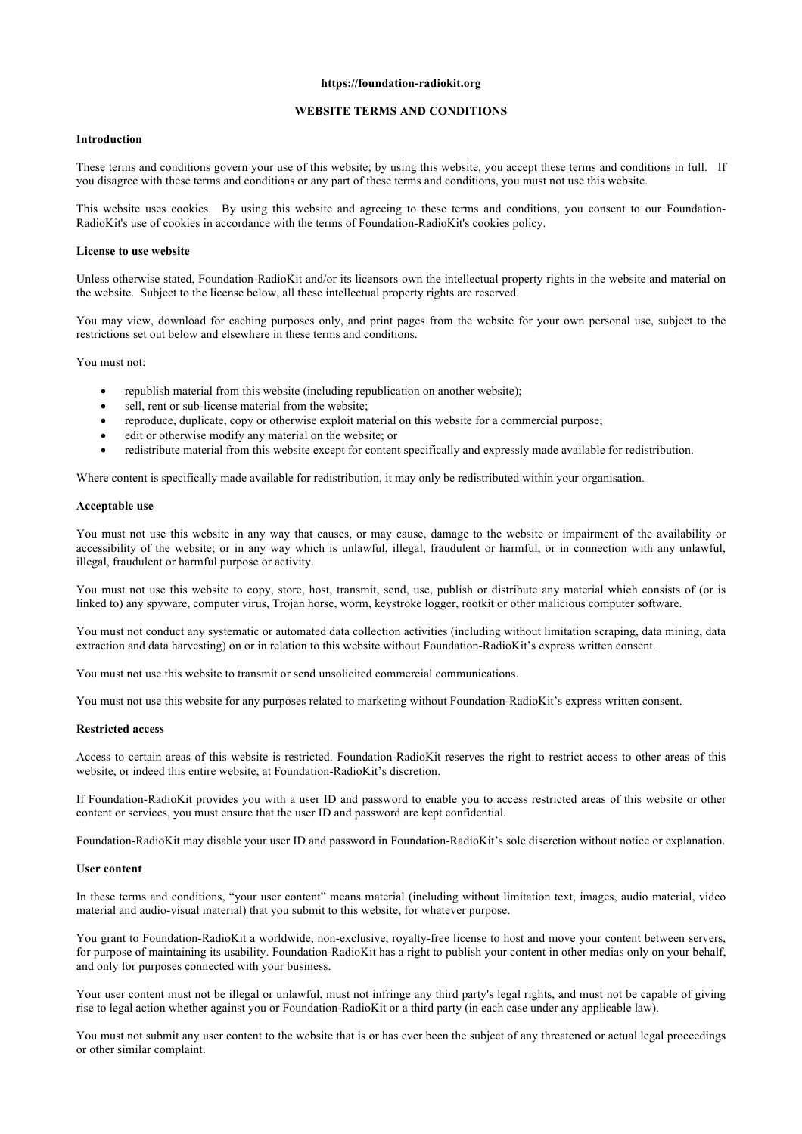### **https://foundation-radiokit.org**

# **WEBSITE TERMS AND CONDITIONS**

## **Introduction**

These terms and conditions govern your use of this website; by using this website, you accept these terms and conditions in full. If you disagree with these terms and conditions or any part of these terms and conditions, you must not use this website.

This website uses cookies. By using this website and agreeing to these terms and conditions, you consent to our Foundation-RadioKit's use of cookies in accordance with the terms of Foundation-RadioKit's cookies policy.

#### **License to use website**

Unless otherwise stated, Foundation-RadioKit and/or its licensors own the intellectual property rights in the website and material on the website. Subject to the license below, all these intellectual property rights are reserved.

You may view, download for caching purposes only, and print pages from the website for your own personal use, subject to the restrictions set out below and elsewhere in these terms and conditions.

You must not:

- republish material from this website (including republication on another website);
- sell, rent or sub-license material from the website;
- reproduce, duplicate, copy or otherwise exploit material on this website for a commercial purpose;
- edit or otherwise modify any material on the website; or
- redistribute material from this website except for content specifically and expressly made available for redistribution.

Where content is specifically made available for redistribution, it may only be redistributed within your organisation.

## **Acceptable use**

You must not use this website in any way that causes, or may cause, damage to the website or impairment of the availability or accessibility of the website; or in any way which is unlawful, illegal, fraudulent or harmful, or in connection with any unlawful, illegal, fraudulent or harmful purpose or activity.

You must not use this website to copy, store, host, transmit, send, use, publish or distribute any material which consists of (or is linked to) any spyware, computer virus, Trojan horse, worm, keystroke logger, rootkit or other malicious computer software.

You must not conduct any systematic or automated data collection activities (including without limitation scraping, data mining, data extraction and data harvesting) on or in relation to this website without Foundation-RadioKit's express written consent.

You must not use this website to transmit or send unsolicited commercial communications.

You must not use this website for any purposes related to marketing without Foundation-RadioKit's express written consent.

## **Restricted access**

Access to certain areas of this website is restricted. Foundation-RadioKit reserves the right to restrict access to other areas of this website, or indeed this entire website, at Foundation-RadioKit's discretion.

If Foundation-RadioKit provides you with a user ID and password to enable you to access restricted areas of this website or other content or services, you must ensure that the user ID and password are kept confidential.

Foundation-RadioKit may disable your user ID and password in Foundation-RadioKit's sole discretion without notice or explanation.

#### **User content**

In these terms and conditions, "your user content" means material (including without limitation text, images, audio material, video material and audio-visual material) that you submit to this website, for whatever purpose.

You grant to Foundation-RadioKit a worldwide, non-exclusive, royalty-free license to host and move your content between servers, for purpose of maintaining its usability. Foundation-RadioKit has a right to publish your content in other medias only on your behalf, and only for purposes connected with your business.

Your user content must not be illegal or unlawful, must not infringe any third party's legal rights, and must not be capable of giving rise to legal action whether against you or Foundation-RadioKit or a third party (in each case under any applicable law).

You must not submit any user content to the website that is or has ever been the subject of any threatened or actual legal proceedings or other similar complaint.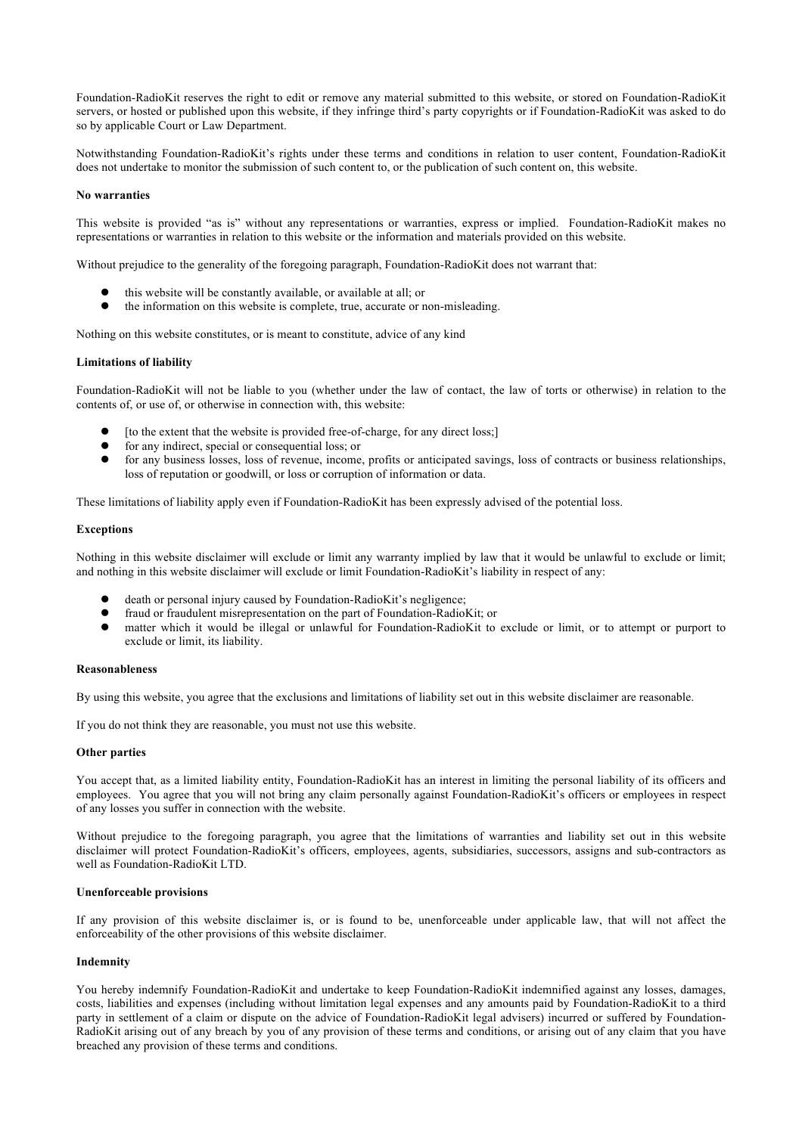Foundation-RadioKit reserves the right to edit or remove any material submitted to this website, or stored on Foundation-RadioKit servers, or hosted or published upon this website, if they infringe third's party copyrights or if Foundation-RadioKit was asked to do so by applicable Court or Law Department.

Notwithstanding Foundation-RadioKit's rights under these terms and conditions in relation to user content, Foundation-RadioKit does not undertake to monitor the submission of such content to, or the publication of such content on, this website.

## **No warranties**

This website is provided "as is" without any representations or warranties, express or implied. Foundation-RadioKit makes no representations or warranties in relation to this website or the information and materials provided on this website.

Without prejudice to the generality of the foregoing paragraph, Foundation-RadioKit does not warrant that:

- this website will be constantly available, or available at all; or
- the information on this website is complete, true, accurate or non-misleading.

Nothing on this website constitutes, or is meant to constitute, advice of any kind

## **Limitations of liability**

Foundation-RadioKit will not be liable to you (whether under the law of contact, the law of torts or otherwise) in relation to the contents of, or use of, or otherwise in connection with, this website:

- [to the extent that the website is provided free-of-charge, for any direct loss;]
- $\bullet$  for any indirect, special or consequential loss; or
- l for any business losses, loss of revenue, income, profits or anticipated savings, loss of contracts or business relationships, loss of reputation or goodwill, or loss or corruption of information or data.

These limitations of liability apply even if Foundation-RadioKit has been expressly advised of the potential loss.

## **Exceptions**

Nothing in this website disclaimer will exclude or limit any warranty implied by law that it would be unlawful to exclude or limit; and nothing in this website disclaimer will exclude or limit Foundation-RadioKit's liability in respect of any:

- death or personal injury caused by Foundation-RadioKit's negligence;
- $\bullet$  fraud or fraudulent misrepresentation on the part of Foundation-RadioKit; or
- l matter which it would be illegal or unlawful for Foundation-RadioKit to exclude or limit, or to attempt or purport to exclude or limit, its liability.

## **Reasonableness**

By using this website, you agree that the exclusions and limitations of liability set out in this website disclaimer are reasonable.

If you do not think they are reasonable, you must not use this website.

## **Other parties**

You accept that, as a limited liability entity, Foundation-RadioKit has an interest in limiting the personal liability of its officers and employees. You agree that you will not bring any claim personally against Foundation-RadioKit's officers or employees in respect of any losses you suffer in connection with the website.

Without prejudice to the foregoing paragraph, you agree that the limitations of warranties and liability set out in this website disclaimer will protect Foundation-RadioKit's officers, employees, agents, subsidiaries, successors, assigns and sub-contractors as well as Foundation-RadioKit LTD.

# **Unenforceable provisions**

If any provision of this website disclaimer is, or is found to be, unenforceable under applicable law, that will not affect the enforceability of the other provisions of this website disclaimer.

# **Indemnity**

You hereby indemnify Foundation-RadioKit and undertake to keep Foundation-RadioKit indemnified against any losses, damages, costs, liabilities and expenses (including without limitation legal expenses and any amounts paid by Foundation-RadioKit to a third party in settlement of a claim or dispute on the advice of Foundation-RadioKit legal advisers) incurred or suffered by Foundation-RadioKit arising out of any breach by you of any provision of these terms and conditions, or arising out of any claim that you have breached any provision of these terms and conditions.